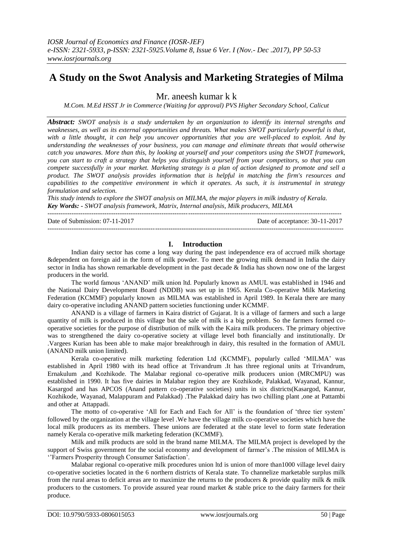# **A Study on the Swot Analysis and Marketing Strategies of Milma**

Mr. aneesh kumar k k

*M.Com. M.Ed HSST Jr in Commerce (Waiting for approval) PVS Higher Secondary School, Calicut*

*Abstract: SWOT analysis is a study undertaken by an organization to identify its internal strengths and weaknesses, as well as its external opportunities and threats. What makes SWOT particularly powerful is that, with a little thought, it can help you uncover opportunities that you are well-placed to exploit. And by understanding the weaknesses of your business, you can manage and eliminate threats that would otherwise catch you unawares. More than this, by looking at yourself and your competitors using the SWOT framework, you can start to craft a strategy that helps you distinguish yourself from your competitors, so that you can compete successfully in your market. Marketing strategy is a plan of action designed to promote and sell a product. The SWOT analysis provides information that is helpful in matching the firm's resources and capabilities to the competitive environment in which it operates. As such, it is instrumental in strategy formulation and selection.* 

*This study intends to explore the SWOT analysis on MILMA, the major players in milk industry of Kerala. Key Words: - SWOT analysis framework, Matrix, Internal analysis, Milk producers, MILMA* --------------------------------------------------------------------------------------------------------------------------------------

---------------------------------------------------------------------------------------------------------------------------------------

Date of Submission: 07-11-2017 Date of acceptance: 30-11-2017

## **I. Introduction**

Indian dairy sector has come a long way during the past independence era of accrued milk shortage &dependent on foreign aid in the form of milk powder. To meet the growing milk demand in India the dairy sector in India has shown remarkable development in the past decade & India has shown now one of the largest producers in the world.

The world famous "ANAND" milk union ltd. Popularly known as AMUL was established in 1946 and the National Dairy Development Board (NDDB) was set up in 1965. Kerala Co-operative Milk Marketing Federation (KCMMF) popularly known as MILMA was established in April 1989. In Kerala there are many dairy co-operative including ANAND pattern societies functioning under KCMMF.

ANAND is a village of farmers in Kaira district of Gujarat. It is a village of farmers and such a large quantity of milk is produced in this village but the sale of milk is a big problem. So the farmers formed cooperative societies for the purpose of distribution of milk with the Kaira milk producers. The primary objective was to strengthened the dairy co-operative society at village level both financially and institutionally. Dr .Vargees Kurian has been able to make major breakthrough in dairy, this resulted in the formation of AMUL (ANAND milk union limited).

Kerala co-operative milk marketing federation Ltd (KCMMF), popularly called "MILMA" was established in April 1980 with its head office at Trivandrum .It has three regional units at Trivandrum, Ernakulum ,and Kozhikode. The Malabar regional co-operative milk producers union (MRCMPU) was established in 1990. It has five dairies in Malabar region they are Kozhikode, Palakkad, Wayanad, Kannur, Kasargod and has APCOS (Anand pattern co-operative societies) units in six districts(Kasargod, Kannur, Kozhikode, Wayanad, Malappuram and Palakkad) .The Palakkad dairy has two chilling plant ,one at Pattambi and other at Attappadi.

The motto of co-operative 'All for Each and Each for All' is the foundation of 'three tier system' followed by the organization at the village level .We have the village milk co-operative societies which have the local milk producers as its members. These unions are federated at the state level to form state federation namely Kerala co-operative milk marketing federation (KCMMF).

Milk and milk products are sold in the brand name MILMA. The MILMA project is developed by the support of Swiss government for the social economy and development of farmer's .The mission of MILMA is "Farmers Prosperity through Consumer Satisfaction".

Malabar regional co-operative milk procedures union ltd is union of more than1000 village level dairy co-operative societies located in the 6 northern districts of Kerala state. To channelize marketable surplus milk from the rural areas to deficit areas are to maximize the returns to the producers  $\&$  provide quality milk  $\&$  milk producers to the customers. To provide assured year round market & stable price to the dairy farmers for their produce.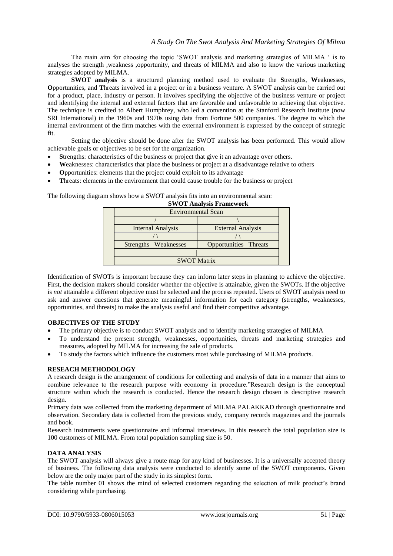The main aim for choosing the topic "SWOT analysis and marketing strategies of MILMA " is to analyses the strength ,weakness ,opportunity, and threats of MILMA and also to know the various marketing strategies adopted by MILMA.

**SWOT analysis** is a structured [planning](http://en.wikipedia.org/wiki/Plan) method used to evaluate the **S**trengths, **W**eaknesses, **O**pportunities, and **T**hreats involved in a [project](http://en.wikipedia.org/wiki/Project) or in a [business](http://en.wikipedia.org/wiki/Business) venture. A SWOT analysis can be carried out for a product, place, industry or person. It involves specifying the objective of the business venture or project and identifying the internal and external factors that are favorable and unfavorable to achieving that objective. The technique is credited to [Albert Humphrey,](http://en.wikipedia.org/wiki/Albert_S._Humphrey) who led a convention at the Stanford Research Institute (now [SRI International\)](http://en.wikipedia.org/wiki/SRI_International) in the 1960s and 1970s using data from [Fortune 500](http://en.wikipedia.org/wiki/Fortune_500) companies. The degree to which the internal environment of the firm matches with the external environment is expressed by the concept of [strategic](http://en.wikipedia.org/wiki/Strategic_fit)  [fit.](http://en.wikipedia.org/wiki/Strategic_fit)

Setting the objective should be done after the SWOT analysis has been performed. This would allow achievable goals or objectives to be set for the organization.

- **S**trengths: characteristics of the business or project that give it an advantage over others.
- **W**eaknesses: characteristics that place the business or project at a disadvantage relative to others
- **O**pportunities: elements that the project could exploit to its advantage
- **T**hreats: elements in the environment that could cause trouble for the business or project

**SWOT Analysis Framework** Environmental Scan /  $\sqrt{2}$   $\sqrt{2}$   $\sqrt{2}$   $\sqrt{2}$ Internal Analysis External Analysis / \  $\qquad$   $\qquad$   $\qquad$   $\qquad$   $\qquad$   $\qquad$   $\qquad$   $\qquad$   $\qquad$   $\qquad$   $\qquad$   $\qquad$   $\qquad$   $\qquad$   $\qquad$   $\qquad$   $\qquad$   $\qquad$   $\qquad$   $\qquad$   $\qquad$   $\qquad$   $\qquad$   $\qquad$   $\qquad$   $\qquad$   $\qquad$   $\qquad$   $\qquad$   $\qquad$   $\qquad$   $\qquad$   $\qquad$   $\qquad$   $\qquad$   $\qquad$  Strengths Weaknesses | Opportunities Threats | SWOT Matrix

The following diagram shows how a SWOT analysis fits into an environmental scan:

#### **OBJECTIVES OF THE STUDY**

- The primary objective is to conduct SWOT analysis and to identify marketing strategies of MILMA
- To understand the present strength, weaknesses, opportunities, threats and marketing strategies and measures, adopted by MILMA for increasing the sale of products.
- To study the factors which influence the customers most while purchasing of MILMA products.

## **RESEACH METHODOLOGY**

A research design is the arrangement of conditions for collecting and analysis of data in a manner that aims to combine relevance to the research purpose with economy in procedure."Research design is the conceptual structure within which the research is conducted. Hence the research design chosen is descriptive research design.

Primary data was collected from the marketing department of MILMA PALAKKAD through questionnaire and observation. Secondary data is collected from the previous study, company records magazines and the journals and book.

Research instruments were questionnaire and informal interviews. In this research the total population size is 100 customers of MILMA. From total population sampling size is 50.

# **DATA ANALYSIS**

The SWOT analysis will always give a route map for any kind of businesses. It is a universally accepted theory of business. The following data analysis were conducted to identify some of the SWOT components. Given below are the only major part of the study in its simplest form.

The table number 01 shows the mind of selected customers regarding the selection of milk product"s brand considering while purchasing.

Identification of SWOTs is important because they can inform later steps in planning to achieve the objective. First, the decision makers should consider whether the objective is attainable, given the SWOTs. If the objective is *not* attainable a different objective must be selected and the process repeated. Users of SWOT analysis need to ask and answer questions that generate meaningful information for each category (strengths, weaknesses, opportunities, and threats) to make the analysis useful and find their competitive advantage.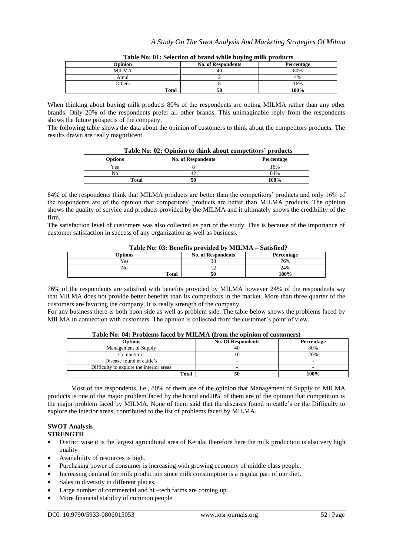| Opinion       | <b>No. of Respondents</b> | Percentage |
|---------------|---------------------------|------------|
| <b>MILMA</b>  | 40                        | 80%        |
| Amul          |                           | 4%         |
| <b>Others</b> |                           | 16%        |
| <b>Total</b>  | 50                        | 100%       |

**Table No: 01: Selection of brand while buying milk products**

When thinking about buying milk products 80% of the respondents are opting MILMA rather than any other brands. Only 20% of the respondents prefer all other brands. This unimaginable reply from the respondents shows the future prospects of the company.

The following table shows the data about the opinion of customers to think about the competitors products. The results drawn are really magnificent.

| _ _ _ _ _ _ _ _ _ _ _ _ _ | ---- - -- - - - -------   | --------<br>- - - - - - - - - |
|---------------------------|---------------------------|-------------------------------|
| <b>Options</b>            | <b>No. of Respondents</b> | Percentage                    |
| Yes                       |                           | 16%                           |
|                           | …                         | 84%                           |
| Total                     | 50                        | 100%                          |

84% of the respondents think that MILMA products are better than the competitors' products and only 16% of the respondents are of the opinion that competitors" products are better than MILMA products. The opinion shows the quality of service and products provided by the MILMA and it ultimately shows the credibility of the firm.

The satisfaction level of customers was also collected as part of the study. This is because of the importance of customer satisfaction in success of any organization as well as business.

| <b>Table No: 03: Defields provided by MILMA – Sausited:</b> |                           |            |  |  |
|-------------------------------------------------------------|---------------------------|------------|--|--|
| <b>Options</b>                                              | <b>No. of Respondents</b> | Percentage |  |  |
| Yes                                                         |                           | 76%        |  |  |
| N٥                                                          |                           | 24%        |  |  |
| Total                                                       | 50                        | 100%       |  |  |

# **Table No: 03: Benefits provided by MILMA – Satisfied?**

76% of the respondents are satisfied with benefits provided by MILMA however 24% of the respondents say that MILMA does not provide better benefits than its competitors in the market. More than three quarter of the customers are favoring the company. It is really strength of the company.

For any business there is both boon side as well as problem side. The table below shows the problems faced by MILMA in connection with customers. The opinion is collected from the customer's point of view.

| $-$ 0.0 $-$ 0.0 $-$ 0.0 $-$ 0.0 $-$ 0.0 $-$ 0.0 $-$ 0.0 $-$ 0.0 $-$ 0.0 $-$ 0.0 $-$ 0.0 $-$ 0.0 $-$ 0.0 $-$ 0.0 $-$ 0.0 $-$ 0.0 $-$ 0.0 $-$ 0.0 $-$ 0.0 $-$ 0.0 $-$ 0.0 $-$ 0.0 $-$ 0.0 $-$ 0.0 $-$ 0.0 $-$ 0.0 $-$ 0.0 $-$ 0 |                           |            |  |  |
|-------------------------------------------------------------------------------------------------------------------------------------------------------------------------------------------------------------------------------|---------------------------|------------|--|--|
| Options                                                                                                                                                                                                                       | <b>No. Of Respondents</b> | Percentage |  |  |
| Management of Supply                                                                                                                                                                                                          |                           | 80%        |  |  |
| Competitors                                                                                                                                                                                                                   |                           | 20%        |  |  |
| Disease found in cattle's                                                                                                                                                                                                     |                           | -          |  |  |
| Difficulty to explore the interior areas                                                                                                                                                                                      | -                         | -          |  |  |
| Total                                                                                                                                                                                                                         |                           | 100%       |  |  |

**Table No: 04: Problems faced by MILMA (from the opinion of customers)**

Most of the respondents, i.e., 80% of them are of the opinion that Management of Supply of MILMA products is one of the major problem faced by the brand and20% of them are of the opinion that competition is the major problem faced by MILMA. None of them said that the diseases found in cattle"s or the Difficulty to explore the interior areas, contributed to the list of problems faced by MILMA.

#### **SWOT Analysis STRENGTH**

- District wise it is the largest agricultural area of Kerala; therefore here the milk production is also very high quality
- Availability of resources is high.
- Purchasing power of consumer is increasing with growing economy of middle class people.
- Increasing demand for milk production since milk consumption is a regular part of our diet.
- Sales in diversity in different places.
- Large number of commercial and hi –tech farms are coming up
- More financial stability of common people